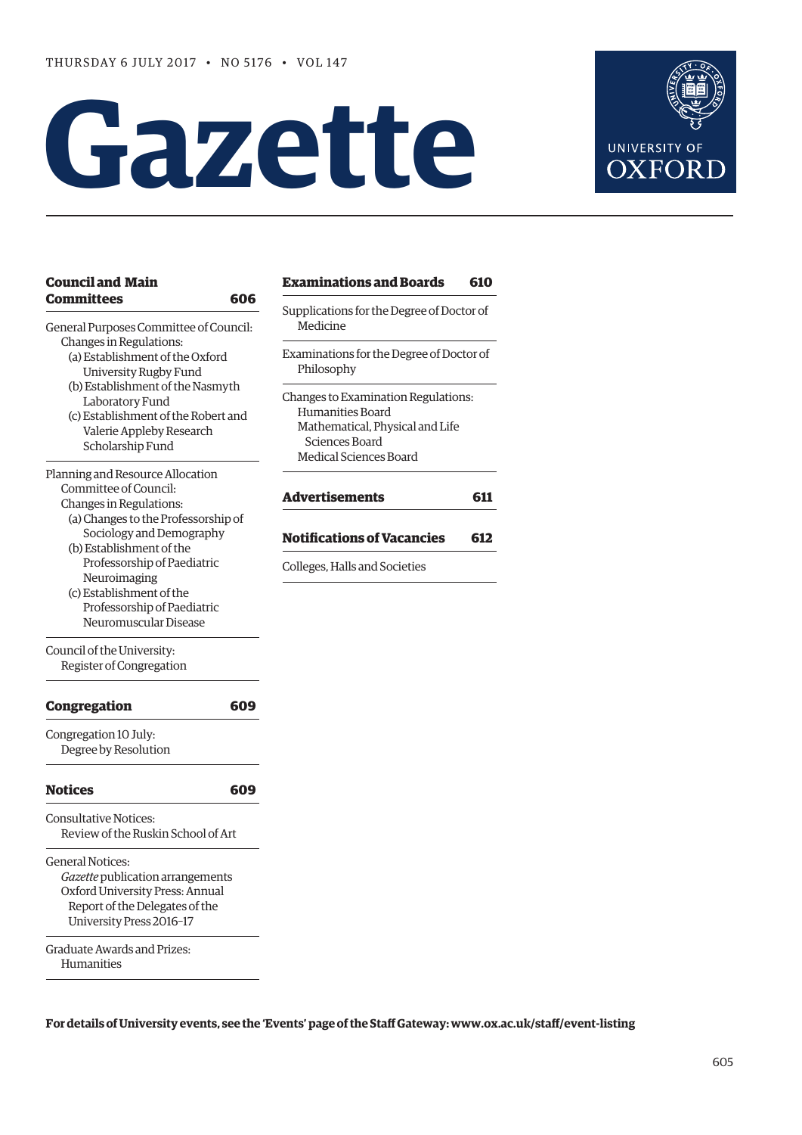# **Gazette**



| <b>Council and Main</b>                                    |     | Examina                |
|------------------------------------------------------------|-----|------------------------|
| <b>Committees</b>                                          | 606 |                        |
| General Purposes Committee of Council:                     |     | Supplicatio<br>Medicir |
| Changes in Regulations:                                    |     |                        |
| (a) Establishment of the Oxford                            |     | Examinati              |
| University Rugby Fund                                      |     | Philoso                |
| (b) Establishment of the Nasmyth                           |     |                        |
| Laboratory Fund                                            |     | Changes to<br>Human    |
| (c) Establishment of the Robert and                        |     | Mathen                 |
| Valerie Appleby Research<br>Scholarship Fund               |     | Scienc                 |
|                                                            |     | Medical                |
| Planning and Resource Allocation                           |     |                        |
| Committee of Council:                                      |     | Advertis               |
| Changes in Regulations:                                    |     |                        |
| (a) Changes to the Professorship of                        |     |                        |
| Sociology and Demography<br>(b) Establishment of the       |     | Notificat              |
| Professorship of Paediatric                                |     |                        |
| Neuroimaging                                               |     | Colleges, H            |
| (c) Establishment of the                                   |     |                        |
| Professorship of Paediatric                                |     |                        |
| Neuromuscular Disease                                      |     |                        |
| Council of the University:                                 |     |                        |
| Register of Congregation                                   |     |                        |
| <b>Congregation</b>                                        | 609 |                        |
| Congregation 10 July:                                      |     |                        |
| Degree by Resolution                                       |     |                        |
| <b>Notices</b>                                             | 609 |                        |
| <b>Consultative Notices:</b>                               |     |                        |
| Review of the Ruskin School of Art                         |     |                        |
| General Notices:                                           |     |                        |
| Gazette publication arrangements                           |     |                        |
| Oxford University Press: Annual                            |     |                        |
| Report of the Delegates of the<br>University Press 2016-17 |     |                        |
|                                                            |     |                        |
| Graduate Awards and Prizes:                                |     |                        |
| Humanities                                                 |     |                        |

**[Examinations and Boards](#page-5-0) 610** ons for the Degree of Doctor of ne ons for the Degree of Doctor of phy D Examination Regulations: ities Board natical, Physical and Life ces Board d Sciences Board **[Advertisements](#page-6-0) 611**

# **Nons of Vacancies 612**

**Halls and Societies** 

**For details of University events, see the 'Events' page of the Staff Gateway: [www.ox.ac.uk/staff/event-listing](http://www.ox.ac.uk/staff/event-listing)**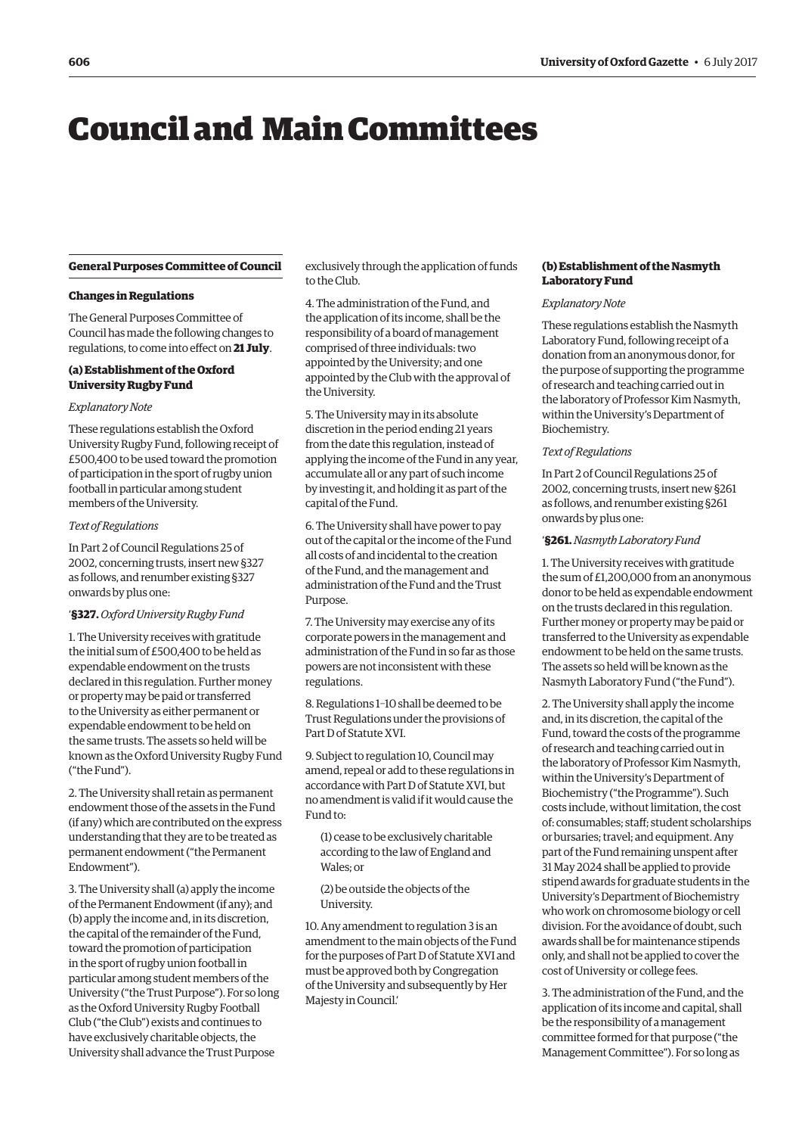# <span id="page-1-0"></span>Council and Main Committees

#### **General Purposes Committee of Council**

#### **Changes in Regulations**

The General Purposes Committee of Council has made the following changes to regulations, to come into effect on **21 July**.

#### **(a) Establishment of the Oxford University Rugby Fund**

#### *Explanatory Note*

These regulations establish the Oxford University Rugby Fund, following receipt of £500,400 to be used toward the promotion of participation in the sport of rugby union football in particular among student members of the University.

#### *Text of Regulations*

In Part 2 of Council Regulations 25 of 2002, concerning trusts, insert new §327 as follows, and renumber existing §327 onwards by plus one:

# '**§327.***Oxford University Rugby Fund*

1. The University receives with gratitude the initial sum of £500,400 to be held as expendable endowment on the trusts declared in this regulation. Further money or property may be paid or transferred to the University as either permanent or expendable endowment to be held on the same trusts. The assets so held will be known as the Oxford University Rugby Fund ("the Fund").

2. The University shall retain as permanent endowment those of the assets in the Fund (if any) which are contributed on the express understanding that they are to be treated as permanent endowment ("the Permanent Endowment").

3. The University shall (a) apply the income of the Permanent Endowment (if any); and (b) apply the income and, in its discretion, the capital of the remainder of the Fund, toward the promotion of participation in the sport of rugby union football in particular among student members of the University ("the Trust Purpose"). For so long as the Oxford University Rugby Football Club ("the Club") exists and continues to have exclusively charitable objects, the University shall advance the Trust Purpose

exclusively through the application of funds to the Club.

4. The administration of the Fund, and the application of its income, shall be the responsibility of a board of management comprised of three individuals: two appointed by the University; and one appointed by the Club with the approval of the University.

5. The University may in its absolute discretion in the period ending 21 years from the date this regulation, instead of applying the income of the Fund in any year, accumulate all or any part of such income by investing it, and holding it as part of the capital of the Fund.

6. The University shall have power to pay out of the capital or the income of the Fund all costs of and incidental to the creation of the Fund, and the management and administration of the Fund and the Trust Purpose.

7. The University may exercise any of its corporate powers in the management and administration of the Fund in so far as those powers are not inconsistent with these regulations.

8. Regulations 1–10 shall be deemed to be Trust Regulations under the provisions of Part D of Statute XVI.

9. Subject to regulation 10, Council may amend, repeal or add to these regulations in accordance with Part D of Statute XVI, but no amendment is valid if it would cause the Fund to:

(1) cease to be exclusively charitable according to the law of England and Wales; or

(2) be outside the objects of the University.

10. Any amendment to regulation 3 is an amendment to the main objects of the Fund for the purposes of Part D of Statute XVI and must be approved both by Congregation of the University and subsequently by Her Majesty in Council.'

#### **(b) Establishment of the Nasmyth Laboratory Fund**

#### *Explanatory Note*

These regulations establish the Nasmyth Laboratory Fund, following receipt of a donation from an anonymous donor, for the purpose of supporting the programme of research and teaching carried out in the laboratory of Professor Kim Nasmyth, within the University's Department of Biochemistry.

#### *Text of Regulations*

In Part 2 of Council Regulations 25 of 2002, concerning trusts, insert new §261 as follows, and renumber existing §261 onwards by plus one:

#### '**§261.***Nasmyth Laboratory Fund*

1. The University receives with gratitude the sum of £1,200,000 from an anonymous donor to be held as expendable endowment on the trusts declared in this regulation. Further money or property may be paid or transferred to the University as expendable endowment to be held on the same trusts. The assets so held will be known as the Nasmyth Laboratory Fund ("the Fund").

2. The University shall apply the income and, in its discretion, the capital of the Fund, toward the costs of the programme of research and teaching carried out in the laboratory of Professor Kim Nasmyth, within the University's Department of Biochemistry ("the Programme"). Such costs include, without limitation, the cost of: consumables; staff; student scholarships or bursaries; travel; and equipment. Any part of the Fund remaining unspent after 31 May 2024 shall be applied to provide stipend awards for graduate students in the University's Department of Biochemistry who work on chromosome biology or cell division. For the avoidance of doubt, such awards shall be for maintenance stipends only, and shall not be applied to cover the cost of University or college fees.

3. The administration of the Fund, and the application of its income and capital, shall be the responsibility of a management committee formed for that purpose ("the Management Committee"). For so long as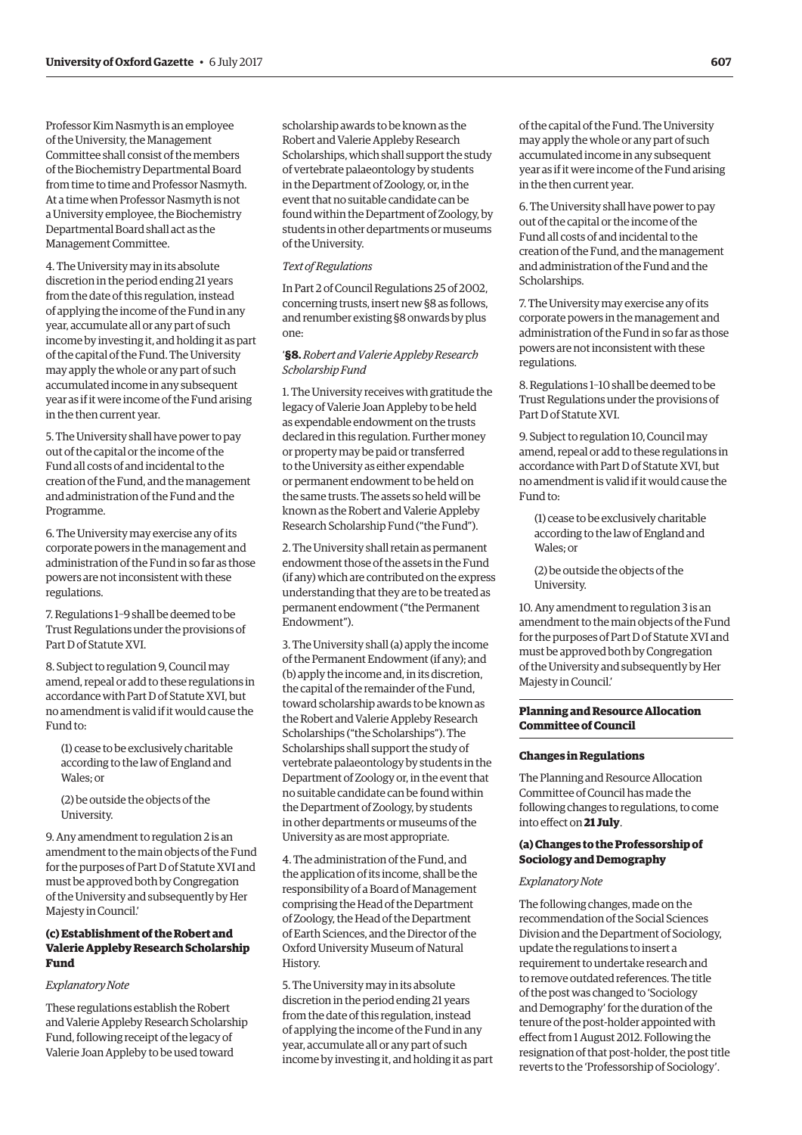Professor Kim Nasmyth is an employee of the University, the Management Committee shall consist of the members of the Biochemistry Departmental Board from time to time and Professor Nasmyth. At a time when Professor Nasmyth is not a University employee, the Biochemistry Departmental Board shall act as the Management Committee.

4. The University may in its absolute discretion in the period ending 21 years from the date of this regulation, instead of applying the income of the Fund in any year, accumulate all or any part of such income by investing it, and holding it as part of the capital of the Fund. The University may apply the whole or any part of such accumulated income in any subsequent year as if it were income of the Fund arising in the then current year.

5. The University shall have power to pay out of the capital or the income of the Fund all costs of and incidental to the creation of the Fund, and the management and administration of the Fund and the Programme.

6. The University may exercise any of its corporate powers in the management and administration of the Fund in so far as those powers are not inconsistent with these regulations.

7. Regulations 1–9 shall be deemed to be Trust Regulations under the provisions of Part D of Statute XVI.

8. Subject to regulation 9, Council may amend, repeal or add to these regulations in accordance with Part D of Statute XVI, but no amendment is valid if it would cause the Fund to:

(1) cease to be exclusively charitable according to the law of England and Wales; or

(2) be outside the objects of the University.

9. Any amendment to regulation 2 is an amendment to the main objects of the Fund for the purposes of Part D of Statute XVI and must be approved both by Congregation of the University and subsequently by Her Majesty in Council.'

#### **(c) Establishment of the Robert and Valerie Appleby Research Scholarship Fund**

#### *Explanatory Note*

These regulations establish the Robert and Valerie Appleby Research Scholarship Fund, following receipt of the legacy of Valerie Joan Appleby to be used toward

scholarship awards to be known as the Robert and Valerie Appleby Research Scholarships, which shall support the study of vertebrate palaeontology by students in the Department of Zoology, or, in the event that no suitable candidate can be found within the Department of Zoology, by students in other departments or museums of the University.

#### *Text of Regulations*

In Part 2 of Council Regulations 25 of 2002, concerning trusts, insert new §8 as follows, and renumber existing §8 onwards by plus one:

#### '**§8.***Robert and Valerie Appleby Research Scholarship Fund*

1. The University receives with gratitude the legacy of Valerie Joan Appleby to be held as expendable endowment on the trusts declared in this regulation. Further money or property may be paid or transferred to the University as either expendable or permanent endowment to be held on the same trusts. The assets so held will be known as the Robert and Valerie Appleby Research Scholarship Fund ("the Fund").

2. The University shall retain as permanent endowment those of the assets in the Fund (if any) which are contributed on the express understanding that they are to be treated as permanent endowment ("the Permanent Endowment").

3. The University shall (a) apply the income of the Permanent Endowment (if any); and (b) apply the income and, in its discretion, the capital of the remainder of the Fund, toward scholarship awards to be known as the Robert and Valerie Appleby Research Scholarships ("the Scholarships"). The Scholarships shall support the study of vertebrate palaeontology by students in the Department of Zoology or, in the event that no suitable candidate can be found within the Department of Zoology, by students in other departments or museums of the University as are most appropriate.

4. The administration of the Fund, and the application of its income, shall be the responsibility of a Board of Management comprising the Head of the Department of Zoology, the Head of the Department of Earth Sciences, and the Director of the Oxford University Museum of Natural History.

5. The University may in its absolute discretion in the period ending 21 years from the date of this regulation, instead of applying the income of the Fund in any year, accumulate all or any part of such income by investing it, and holding it as part of the capital of the Fund. The University may apply the whole or any part of such accumulated income in any subsequent year as if it were income of the Fund arising in the then current year.

6. The University shall have power to pay out of the capital or the income of the Fund all costs of and incidental to the creation of the Fund, and the management and administration of the Fund and the Scholarships.

7. The University may exercise any of its corporate powers in the management and administration of the Fund in so far as those powers are not inconsistent with these regulations.

8. Regulations 1–10 shall be deemed to be Trust Regulations under the provisions of Part D of Statute XVI.

9. Subject to regulation 10, Council may amend, repeal or add to these regulations in accordance with Part D of Statute XVI, but no amendment is valid if it would cause the Fund to:

(1) cease to be exclusively charitable according to the law of England and Wales; or

(2) be outside the objects of the University.

10. Any amendment to regulation 3 is an amendment to the main objects of the Fund for the purposes of Part D of Statute XVI and must be approved both by Congregation of the University and subsequently by Her Majesty in Council.'

#### **Planning and Resource Allocation Committee of Council**

#### **Changes in Regulations**

The Planning and Resource Allocation Committee of Council has made the following changes to regulations, to come into effect on **21 July**.

#### **(a) Changes to the Professorship of Sociology and Demography**

#### *Explanatory Note*

The following changes, made on the recommendation of the Social Sciences Division and the Department of Sociology, update the regulations to insert a requirement to undertake research and to remove outdated references. The title of the post was changed to 'Sociology and Demography' for the duration of the tenure of the post-holder appointed with effect from 1 August 2012. Following the resignation of that post-holder, the post title reverts to the 'Professorship of Sociology'.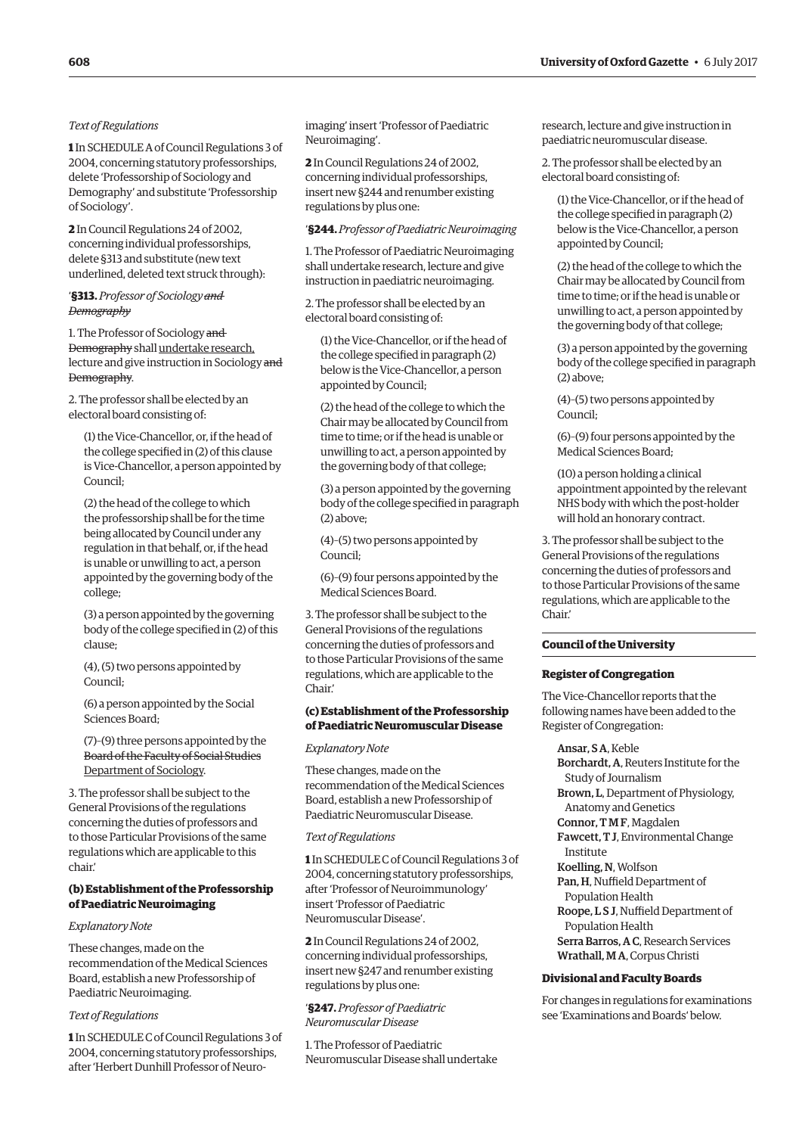#### *Text of Regulations*

**1** In SCHEDULE A of Council Regulations 3 of 2004, concerning statutory professorships, delete 'Professorship of Sociology and Demography' and substitute 'Professorship of Sociology'.

**2** In Council Regulations 24 of 2002, concerning individual professorships, delete §313 and substitute (new text underlined, deleted text struck through):

#### '**§313.** *Professor of Sociology and Demography*

1. The Professor of Sociology and Demography shall undertake research, lecture and give instruction in Sociology and Demography.

2. The professor shall be elected by an electoral board consisting of:

(1) the Vice-Chancellor, or, if the head of the college specified in (2) of this clause is Vice-Chancellor, a person appointed by Council;

(2) the head of the college to which the professorship shall be for the time being allocated by Council under any regulation in that behalf, or, if the head is unable or unwilling to act, a person appointed by the governing body of the college;

(3) a person appointed by the governing body of the college specified in (2) of this clause;

(4), (5) two persons appointed by Council;

(6) a person appointed by the Social Sciences Board;

(7)–(9) three persons appointed by the Board of the Faculty of Social Studies Department of Sociology.

3. The professor shall be subject to the General Provisions of the regulations concerning the duties of professors and to those Particular Provisions of the same regulations which are applicable to this chair.'

#### **(b) Establishment of the Professorship of Paediatric Neuroimaging**

#### *Explanatory Note*

These changes, made on the recommendation of the Medical Sciences Board, establish a new Professorship of Paediatric Neuroimaging.

#### *Text of Regulations*

**1** In SCHEDULE C of Council Regulations 3 of 2004, concerning statutory professorships, after 'Herbert Dunhill Professor of Neuroimaging' insert 'Professor of Paediatric Neuroimaging'.

**2** In Council Regulations 24 of 2002, concerning individual professorships, insert new §244 and renumber existing regulations by plus one:

## '**§244.** *Professor of Paediatric Neuroimaging*

1. The Professor of Paediatric Neuroimaging shall undertake research, lecture and give instruction in paediatric neuroimaging.

2. The professor shall be elected by an electoral board consisting of:

(1) the Vice-Chancellor, or if the head of the college specified in paragraph (2) below is the Vice-Chancellor, a person appointed by Council;

(2) the head of the college to which the Chair may be allocated by Council from time to time; or if the head is unable or unwilling to act, a person appointed by the governing body of that college;

(3) a person appointed by the governing body of the college specified in paragraph (2) above;

(4)–(5) two persons appointed by Council;

(6)–(9) four persons appointed by the Medical Sciences Board.

3. The professor shall be subject to the General Provisions of the regulations concerning the duties of professors and to those Particular Provisions of the same regulations, which are applicable to the Chair.'

#### **(c) Establishment of the Professorship of Paediatric Neuromuscular Disease**

*Explanatory Note*

These changes, made on the recommendation of the Medical Sciences Board, establish a new Professorship of Paediatric Neuromuscular Disease.

#### *Text of Regulations*

**1** In SCHEDULE C of Council Regulations 3 of 2004, concerning statutory professorships, after 'Professor of Neuroimmunology' insert 'Professor of Paediatric Neuromuscular Disease'.

**2** In Council Regulations 24 of 2002, concerning individual professorships, insert new §247 and renumber existing regulations by plus one:

### '**§247.** *Professor of Paediatric Neuromuscular Disease*

1. The Professor of Paediatric Neuromuscular Disease shall undertake research, lecture and give instruction in paediatric neuromuscular disease.

2. The professor shall be elected by an electoral board consisting of:

(1) the Vice-Chancellor, or if the head of the college specified in paragraph (2) below is the Vice-Chancellor, a person appointed by Council;

(2) the head of the college to which the Chair may be allocated by Council from time to time; or if the head is unable or unwilling to act, a person appointed by the governing body of that college;

(3) a person appointed by the governing body of the college specified in paragraph (2) above;

(4)–(5) two persons appointed by Council;

(6)–(9) four persons appointed by the Medical Sciences Board;

(10) a person holding a clinical appointment appointed by the relevant NHS body with which the post-holder will hold an honorary contract.

3. The professor shall be subject to the General Provisions of the regulations concerning the duties of professors and to those Particular Provisions of the same regulations, which are applicable to the Chair.'

#### **Council of the University**

#### **Register of Congregation**

The Vice-Chancellor reports that the following names have been added to the Register of Congregation:

Ansar, S A, Keble Borchardt, A, Reuters Institute for the Study of Journalism Brown, L, Department of Physiology, Anatomy and Genetics Connor, T M F, Magdalen Fawcett, T J, Environmental Change Institute Koelling, N, Wolfson Pan, H, Nuffield Department of Population Health Roope, L S J, Nuffield Department of Population Health Serra Barros, A C, Research Services Wrathall, M A, Corpus Christi

#### **Divisional and Faculty Boards**

For changes in regulations for examinations see '[Examinations and Boards'](#page-5-0) below.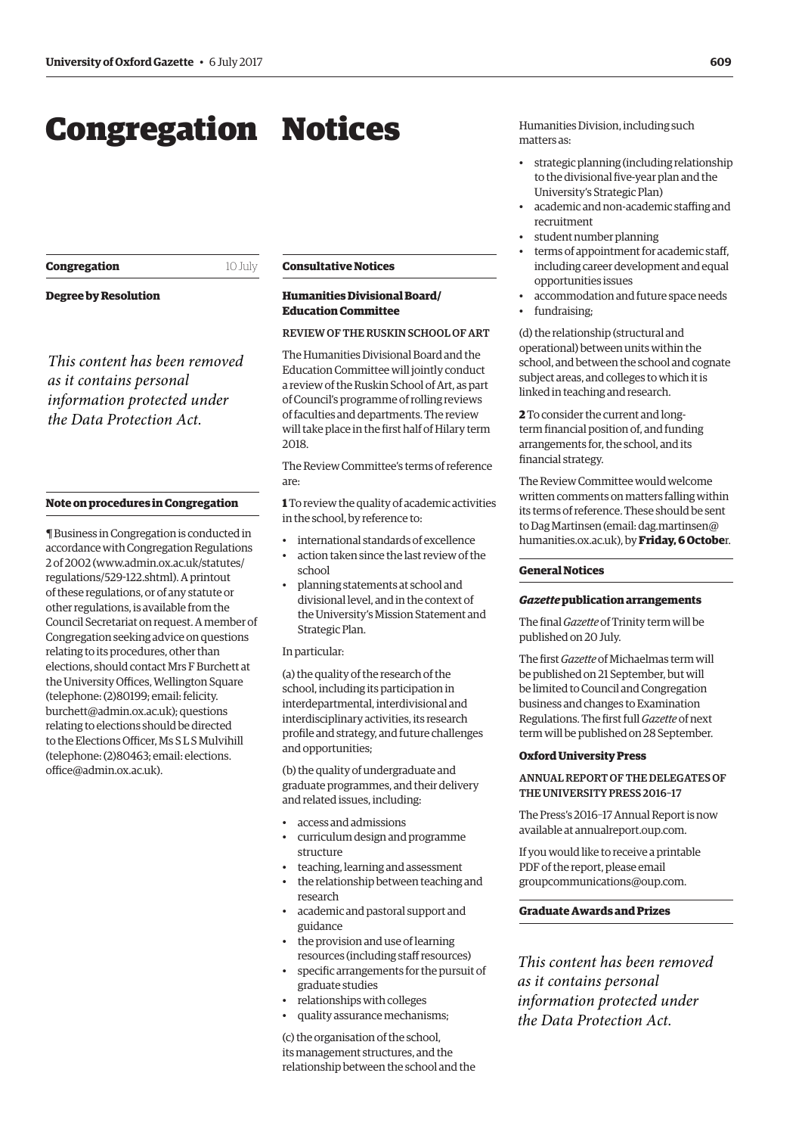# <span id="page-4-0"></span>Congregation Notices

**Congregation** 10 July

**Degree by Resolution**

*This content has been removed as it contains personal information protected under the Data Protection Act.*

#### **Note on procedures in Congregation**

¶ Business in Congregation is conducted in accordance with Congregation Regulations 2 of 2002 [\(www.admin.ox.ac.uk/statutes/](http://www.admin.ox.ac.uk/statutes/regulations/529-122.shtml) [regulations/529-122.shtml\). A](http://www.admin.ox.ac.uk/statutes/regulations/529-122.shtml) printout of these regulations, or of any statute or other regulations, is available from the Council Secretariat on request. A member of Congregation seeking advice on questions relating to its procedures, other than elections, should contact Mrs F Burchett at the University Offices, Wellington Square (telephone: (2)80199; email: felicity. [burchett@admin.ox.ac.uk\); questions](mailto:felicity.burchett@admin.ox.ac.uk)  relating to elections should be directed to the Elections Officer, Ms S L S Mulvihill [\(telephone: \(2\)80463; email: elections.](mailto:elections.office@admin.ox.ac.uk) office@admin.ox.ac.uk).

#### **Consultative Notices**

### **Humanities Divisional Board/ Education Committee**

REVIEW OF THE RUSKIN SCHOOL OF ART

The Humanities Divisional Board and the Education Committee will jointly conduct a review of the Ruskin School of Art, as part of Council's programme of rolling reviews of faculties and departments. The review will take place in the first half of Hilary term 2018.

The Review Committee's terms of reference are:

**1** To review the quality of academic activities in the school, by reference to:

- international standards of excellence
- action taken since the last review of the school
- planning statements at school and divisional level, and in the context of the University's Mission Statement and Strategic Plan.

#### In particular:

(a) the quality of the research of the school, including its participation in interdepartmental, interdivisional and interdisciplinary activities, its research profile and strategy, and future challenges and opportunities;

(b) the quality of undergraduate and graduate programmes, and their delivery and related issues, including:

- access and admissions
- curriculum design and programme structure
- teaching, learning and assessment
- the relationship between teaching and research
- academic and pastoral support and guidance
- the provision and use of learning resources (including staff resources)
- specific arrangements for the pursuit of graduate studies
- relationships with colleges
- quality assurance mechanisms;

(c) the organisation of the school, its management structures, and the relationship between the school and the Humanities Division, including such matters as:

- strategic planning (including relationship to the divisional five-year plan and the University's Strategic Plan)
- academic and non-academic staffing and recruitment
- student number planning
- terms of appointment for academic staff, including career development and equal opportunities issues
- accommodation and future space needs
- fundraising;

(d) the relationship (structural and operational) between units within the school, and between the school and cognate subject areas, and colleges to which it is linked in teaching and research.

**2** To consider the current and longterm financial position of, and funding arrangements for, the school, and its financial strategy.

The Review Committee would welcome written comments on matters falling within its terms of reference. These should be sent [to Dag Martinsen \(email: dag.martinsen@](mailto:dag.martinsen@humanities.ox.ac.uk) humanities.ox.ac.uk), by **Friday, 6 Octobe**r.

#### **General Notices**

#### *Gazette* **publication arrangements**

The final *Gazette* of Trinity term will be published on 20 July.

The first *Gazette* of Michaelmas term will be published on 21 September, but will be limited to Council and Congregation business and changes to Examination Regulations. The first full *Gazette* of next term will be published on 28 September.

#### **Oxford University Press**

## ANNUAL REPORT OF THE DELEGATES OF THE UNIVERSITY PRESS 2016–17

The Press's 2016–17 Annual Report is now available at [annualreport.oup.com](http://annualreport.oup.com).

If you would like to receive a printable PDF of the report, please email [groupcommunications@oup.com.](mailto:groupcommunications@oup.com)

### **Graduate Awards and Prizes**

*This content has been removed as it contains personal information protected under the Data Protection Act.*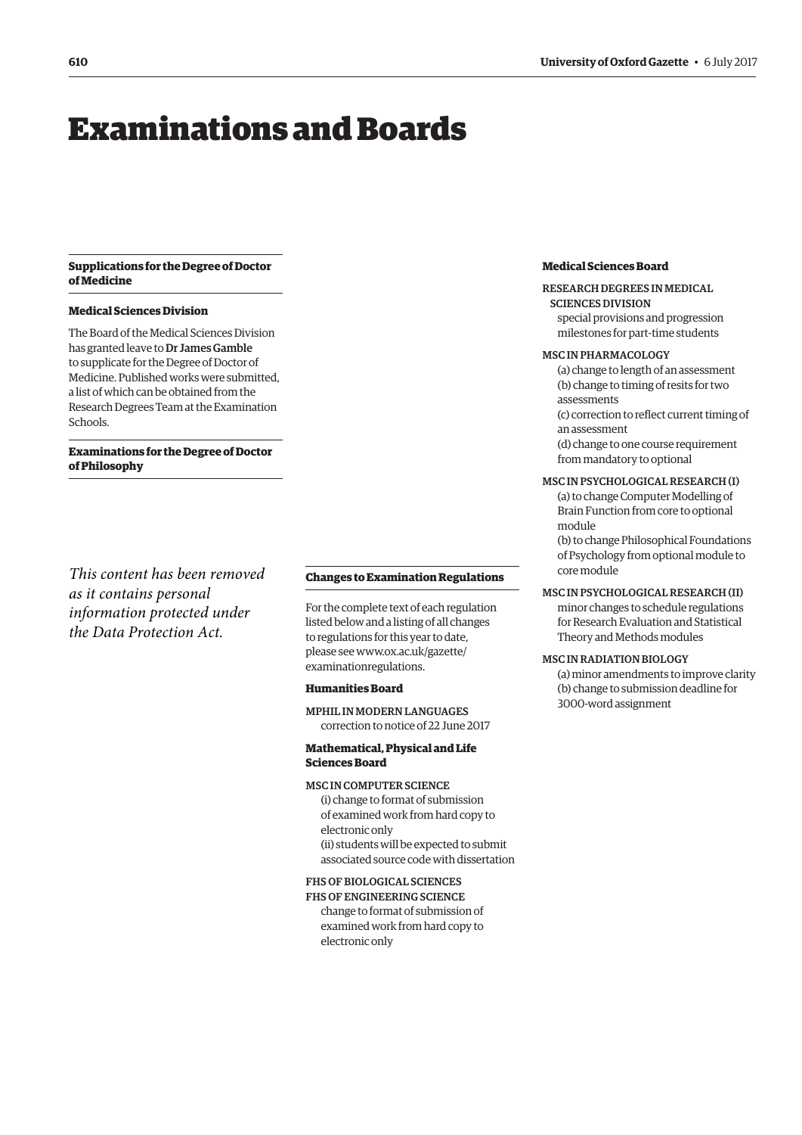# <span id="page-5-0"></span>Examinations and Boards

#### **Supplications for the Degree of Doctor of Medicine**

#### **Medical Sciences Division**

The Board of the Medical Sciences Division has granted leave to Dr James Gamble to supplicate for the Degree of Doctor of Medicine. Published works were submitted, a list of which can be obtained from the Research Degrees Team at the Examination Schools.

**Examinations for the Degree of Doctor of Philosophy**

*This content has been removed as it contains personal information protected under the Data Protection Act.*

#### **Changes to Examination Regulations**

For the complete text of each regulation listed below and a listing of all changes to regulations for this year to date, [please see www.ox.ac.uk/gazette/](www.ox.ac.uk/gazette/examinationregulations) examinationregulations.

#### **Humanities Board**

MPHIL IN MODERN LANGUAGES correction to notice of 22 June 2017

**Mathematical, Physical and Life Sciences Board**

#### MSC IN COMPUTER SCIENCE

(i) change to format of submission of examined work from hard copy to electronic only (ii) students will be expected to submit associated source code with dissertation

#### FHS OF BIOLOGICAL SCIENCES

FHS OF ENGINEERING SCIENCE change to format of submission of examined work from hard copy to electronic only

# **Medical Sciences Board**

#### RESEARCH DEGREES IN MEDICAL SCIENCES DIVISION

special provisions and progression milestones for part-time students

#### MSC IN PHARMACOLOGY

- (a) change to length of an assessment (b) change to timing of resits for two assessments
- (c) correction to reflect current timing of an assessment
- (d) change to one course requirement from mandatory to optional

#### MSC IN PSYCHOLOGICAL RESEARCH (I)

- (a) to change Computer Modelling of Brain Function from core to optional module
- (b) to change Philosophical Foundations of Psychology from optional module to core module

#### MSC IN PSYCHOLOGICAL RESEARCH (II)

minor changes to schedule regulations for Research Evaluation and Statistical Theory and Methods modules

#### MSC IN RADIATION BIOLOGY

(a) minor amendments to improve clarity (b) change to submission deadline for 3000-word assignment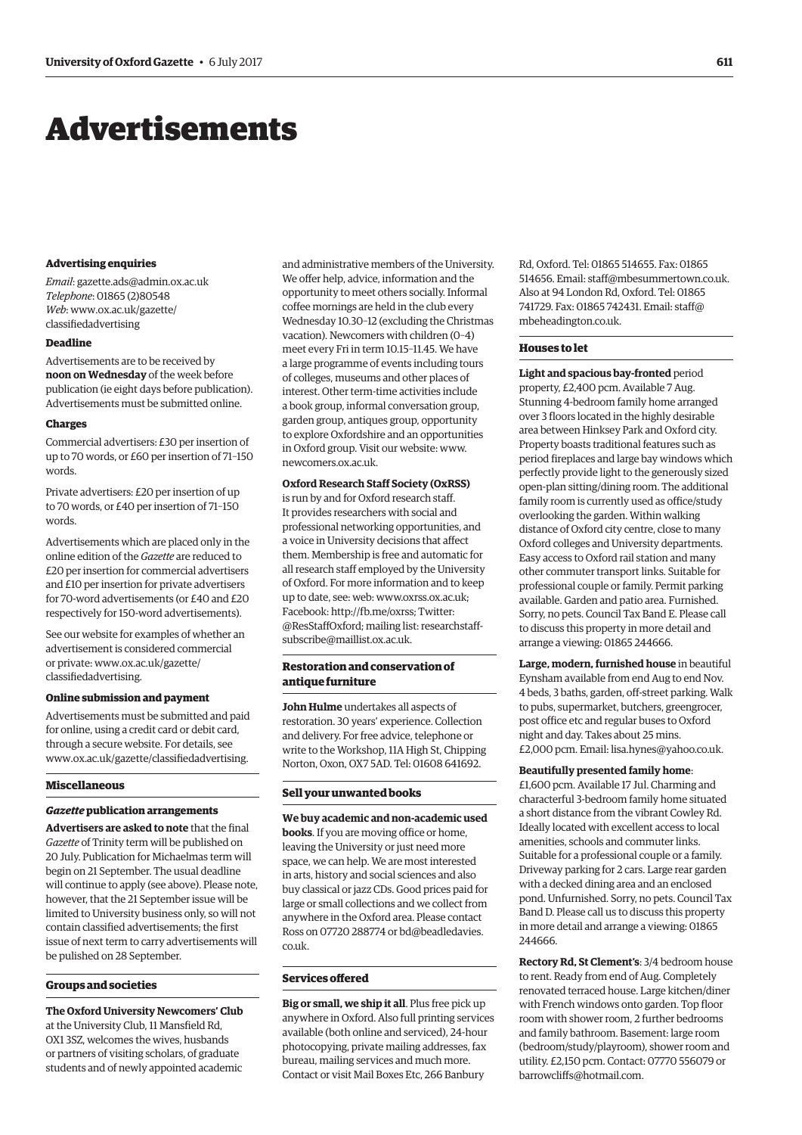# <span id="page-6-0"></span>Advertisements

#### **Advertising enquiries**

*Email*: [gazette.ads@admin.ox.ac.uk](mailto:gazette.ads@admin.ox.ac.uk) *Telephone*: 01865 (2)80548 *Web*[: www.ox.ac.uk/gazette/](www.ox.ac.uk/gazette/classifiedadvertising) classifiedadvertising

#### **Deadline**

Advertisements are to be received by **noon on Wednesday** of the week before publication (ie eight days before publication). Advertisements must be submitted online.

#### **Charges**

Commercial advertisers: £30 per insertion of up to 70 words, or £60 per insertion of 71–150 words.

Private advertisers: £20 per insertion of up to 70 words, or £40 per insertion of 71–150 words.

Advertisements which are placed only in the online edition of the *Gazette* are reduced to £20 per insertion for commercial advertisers and £10 per insertion for private advertisers for 70-word advertisements (or £40 and £20 respectively for 150-word advertisements).

See our website for examples of whether an advertisement is considered commercial [or private: www.ox.ac.uk/gazette/](www.ox.ac.uk/gazette/classifiedadvertising) classifiedadvertising.

#### **Online submission and payment**

Advertisements must be submitted and paid for online, using a credit card or debit card, through a secure website. For details, see [www.ox.ac.uk/gazette/classifiedadvertising.](http://www.ox.ac.uk/gazette/classifiedadvertising)

#### **Miscellaneous**

#### *Gazette* **publication arrangements**

**Advertisers are asked to note** that the final *Gazette* of Trinity term will be published on 20 July. Publication for Michaelmas term will begin on 21 September. The usual deadline will continue to apply (see above). Please note, however, that the 21 September issue will be limited to University business only, so will not contain classified advertisements; the first issue of next term to carry advertisements will be pulished on 28 September.

#### **Groups and societies**

**The Oxford University Newcomers' Club** at the University Club, 11 Mansfield Rd, OX1 3SZ, welcomes the wives, husbands or partners of visiting scholars, of graduate students and of newly appointed academic

and administrative members of the University. We offer help, advice, information and the opportunity to meet others socially. Informal coffee mornings are held in the club every Wednesday 10.30–12 (excluding the Christmas vacation). Newcomers with children (0–4) meet every Fri in term 10.15–11.45. We have a large programme of events including tours of colleges, museums and other places of interest. Other term-time activities include a book group, informal conversation group, garden group, antiques group, opportunity to explore Oxfordshire and an opportunities in Oxford group. Visit our website: [www.](http://www.newcomers.ox.ac.uk) [newcomers.ox.ac.uk.](http://www.newcomers.ox.ac.uk)

#### **Oxford Research Staff Society (OxRSS)**

is run by and for Oxford research staff. It provides researchers with social and professional networking opportunities, and a voice in University decisions that affect them. Membership is free and automatic for all research staff employed by the University of Oxford. For more information and to keep up to date, see: web: [www.oxrss.ox.ac.uk;](http://www.oxrss.ox.ac.uk)  Facebook: [http://fb.me/oxrss; Tw](http://fb.me/oxrss)itter: [@ResStaffOxford;](https://twitter.com/resstaffoxford) mailing list[: researchstaff](mailto:researchstaff-subscribe@maillist.ox.ac.uk)[subscribe@maillist.ox.ac.uk.](mailto:researchstaff-subscribe@maillist.ox.ac.uk)

#### **Restoration and conservation of antique furniture**

**John Hulme** undertakes all aspects of restoration. 30 years' experience. Collection and delivery. For free advice, telephone or write to the Workshop, 11A High St, Chipping Norton, Oxon, OX7 5AD. Tel: 01608 641692.

#### **Sell your unwanted books**

**We buy academic and non-academic used books**. If you are moving office or home, leaving the University or just need more space, we can help. We are most interested in arts, history and social sciences and also buy classical or jazz CDs. Good prices paid for large or small collections and we collect from anywhere in the Oxford area. Please contact [Ross on 07720 288774 or bd@beadledavies.](mailto:bd@beadledavies.co.uk) co.uk.

## **Services offered**

**Big or small, we ship it all**. Plus free pick up anywhere in Oxford. Also full printing services available (both online and serviced), 24-hour photocopying, private mailing addresses, fax bureau, mailing services and much more. Contact or visit Mail Boxes Etc, 266 Banbury

Rd, Oxford. Tel: 01865 514655. Fax: 01865 514656. Email: [staff@mbesummertown.co.uk.](mailto:staff@mbesummertown.co.uk)  Also at 94 London Rd, Oxford. Tel: 01865 [741729. Fax: 01865 742431. Email: staff@](mailto:staff@mbeheadington.co.uk) mbeheadington.co.uk.

#### **Houses to let**

**Light and spacious bay-fronted** period property, £2,400 pcm. Available 7 Aug. Stunning 4-bedroom family home arranged over 3 floors located in the highly desirable area between Hinksey Park and Oxford city. Property boasts traditional features such as period fireplaces and large bay windows which perfectly provide light to the generously sized open-plan sitting/dining room. The additional family room is currently used as office/study overlooking the garden. Within walking distance of Oxford city centre, close to many Oxford colleges and University departments. Easy access to Oxford rail station and many other commuter transport links. Suitable for professional couple or family. Permit parking available. Garden and patio area. Furnished. Sorry, no pets. Council Tax Band E. Please call to discuss this property in more detail and arrange a viewing: 01865 244666.

**Large, modern, furnished house** in beautiful Eynsham available from end Aug to end Nov. 4 beds, 3 baths, garden, off-street parking. Walk to pubs, supermarket, butchers, greengrocer, post office etc and regular buses to Oxford night and day. Takes about 25 mins. £2,000 pcm. Email: [lisa.hynes@yahoo.co.uk.](mailto:lisa.hynes@yahoo.co.uk)

#### **Beautifully presented family home**:

£1,600 pcm. Available 17 Jul. Charming and characterful 3-bedroom family home situated a short distance from the vibrant Cowley Rd. Ideally located with excellent access to local amenities, schools and commuter links. Suitable for a professional couple or a family. Driveway parking for 2 cars. Large rear garden with a decked dining area and an enclosed pond. Unfurnished. Sorry, no pets. Council Tax Band D. Please call us to discuss this property in more detail and arrange a viewing: 01865 244666.

**Rectory Rd, St Clement's**: 3/4 bedroom house to rent. Ready from end of Aug. Completely renovated terraced house. Large kitchen/diner with French windows onto garden. Top floor room with shower room, 2 further bedrooms and family bathroom. Basement: large room (bedroom/study/playroom), shower room and utility. £2,150 pcm. Contact: 07770 556079 or [barrowcliffs@hotmail.com.](mailto:barrowcliffs@hotmail.com)